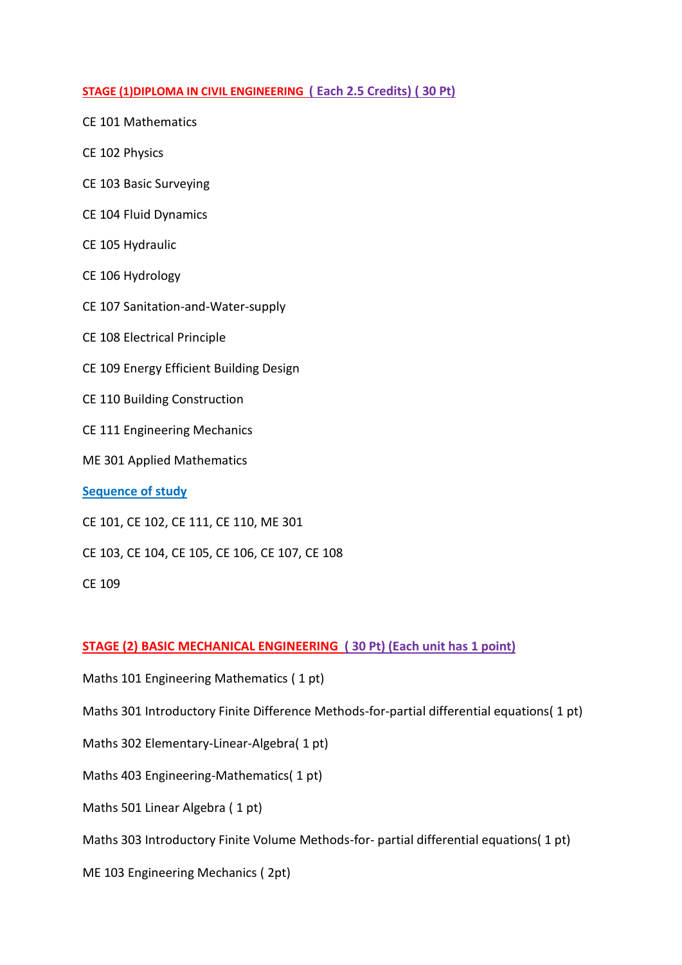## **STAGE (1)DIPLOMA IN CIVIL ENGINEERING ( Each 2.5 Credits) ( 30 Pt)**

- CE 101 Mathematics
- CE 102 Physics
- CE 103 Basic Surveying
- CE 104 Fluid Dynamics
- CE 105 Hydraulic
- CE 106 Hydrology
- CE 107 Sanitation-and-Water-supply
- CE 108 Electrical Principle
- CE 109 Energy Efficient Building Design
- CE 110 Building Construction
- CE 111 Engineering Mechanics
- ME 301 Applied Mathematics

### **Sequence of study**

- CE 101, CE 102, CE 111, CE 110, ME 301
- CE 103, CE 104, CE 105, CE 106, CE 107, CE 108

### **STAGE (2) BASIC MECHANICAL ENGINEERING ( 30 Pt) (Each unit has 1 point)**

- Maths 101 Engineering Mathematics ( 1 pt)
- Maths 301 Introductory Finite Difference Methods-for-partial differential equations( 1 pt)
- Maths 302 Elementary-Linear-Algebra( 1 pt)
- Maths 403 Engineering-Mathematics( 1 pt)
- Maths 501 Linear Algebra ( 1 pt)
- Maths 303 Introductory Finite Volume Methods-for- partial differential equations( 1 pt)
- ME 103 Engineering Mechanics ( 2pt)

CE 109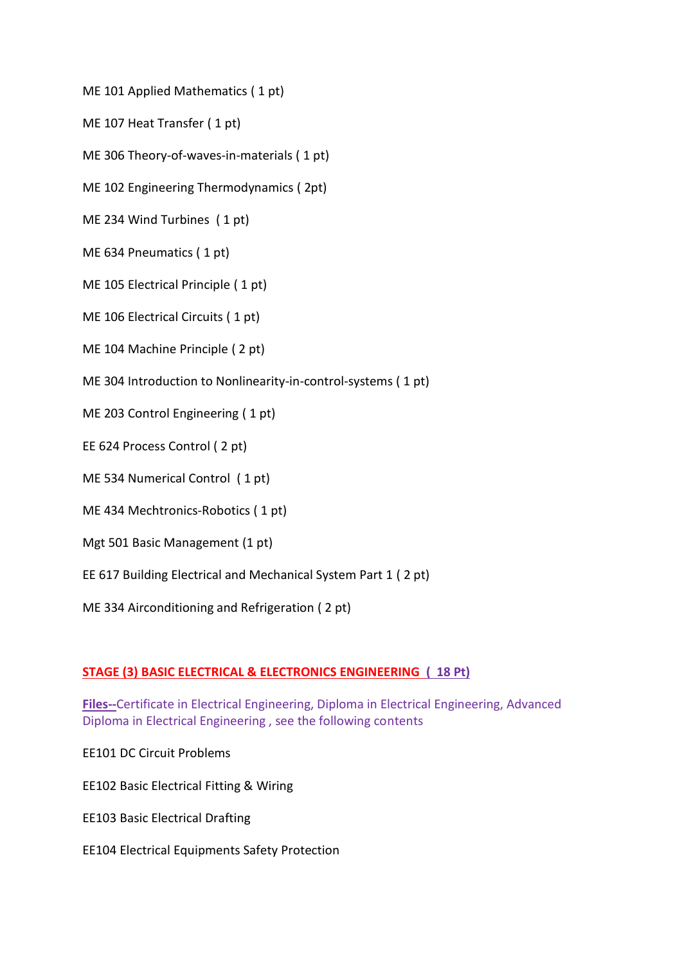ME 101 Applied Mathematics ( 1 pt)

ME 107 Heat Transfer ( 1 pt)

ME 306 Theory-of-waves-in-materials (1 pt)

ME 102 Engineering Thermodynamics ( 2pt)

ME 234 Wind Turbines ( 1 pt)

ME 634 Pneumatics ( 1 pt)

ME 105 Electrical Principle ( 1 pt)

ME 106 Electrical Circuits ( 1 pt)

ME 104 Machine Principle ( 2 pt)

ME 304 Introduction to Nonlinearity-in-control-systems ( 1 pt)

ME 203 Control Engineering ( 1 pt)

EE 624 Process Control ( 2 pt)

ME 534 Numerical Control ( 1 pt)

ME 434 Mechtronics-Robotics ( 1 pt)

Mgt 501 Basic Management (1 pt)

EE 617 Building Electrical and Mechanical System Part 1 ( 2 pt)

ME 334 Airconditioning and Refrigeration ( 2 pt)

### **STAGE (3) BASIC ELECTRICAL & ELECTRONICS ENGINEERING ( 18 Pt)**

**Files--**Certificate in Electrical Engineering, Diploma in Electrical Engineering, Advanced Diploma in Electrical Engineering , see the following contents

EE101 DC Circuit Problems

EE102 Basic Electrical Fitting & Wiring

EE103 Basic Electrical Drafting

EE104 Electrical Equipments Safety Protection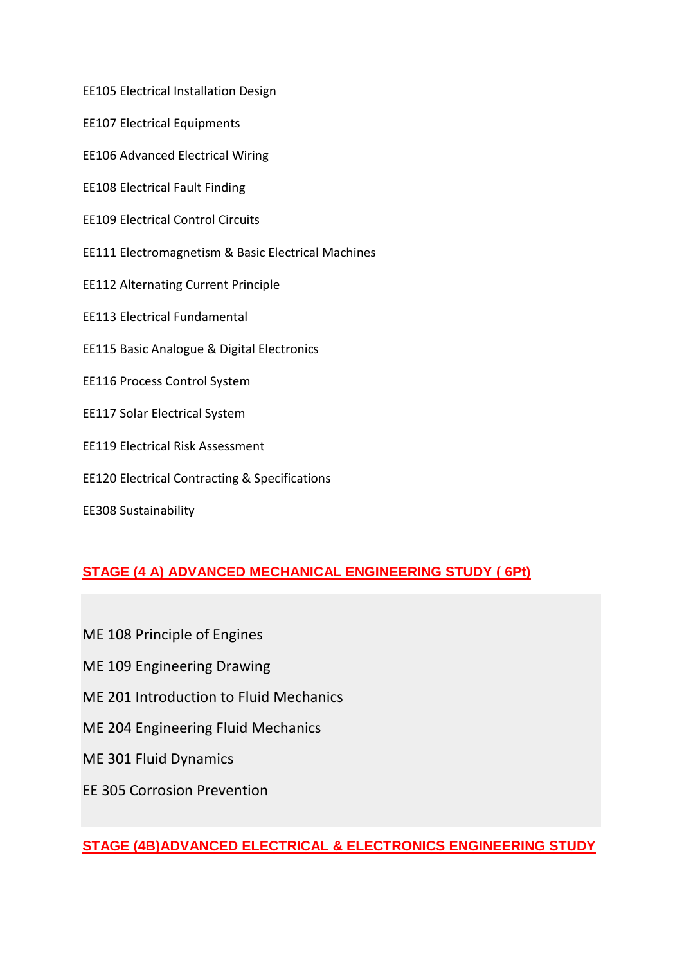EE105 Electrical Installation Design

EE107 Electrical Equipments

EE106 Advanced Electrical Wiring

EE108 Electrical Fault Finding

EE109 Electrical Control Circuits

EE111 Electromagnetism & Basic Electrical Machines

EE112 Alternating Current Principle

EE113 Electrical Fundamental

EE115 Basic Analogue & Digital Electronics

EE116 Process Control System

EE117 Solar Electrical System

EE119 Electrical Risk Assessment

EE120 Electrical Contracting & Specifications

EE308 Sustainability

# **STAGE (4 A) ADVANCED MECHANICAL ENGINEERING STUDY ( 6Pt)**

ME 108 Principle of Engines

ME 109 Engineering Drawing

ME 201 Introduction to Fluid Mechanics

ME 204 Engineering Fluid Mechanics

ME 301 Fluid Dynamics

EE 305 Corrosion Prevention

**STAGE (4B)ADVANCED ELECTRICAL & ELECTRONICS ENGINEERING STUDY**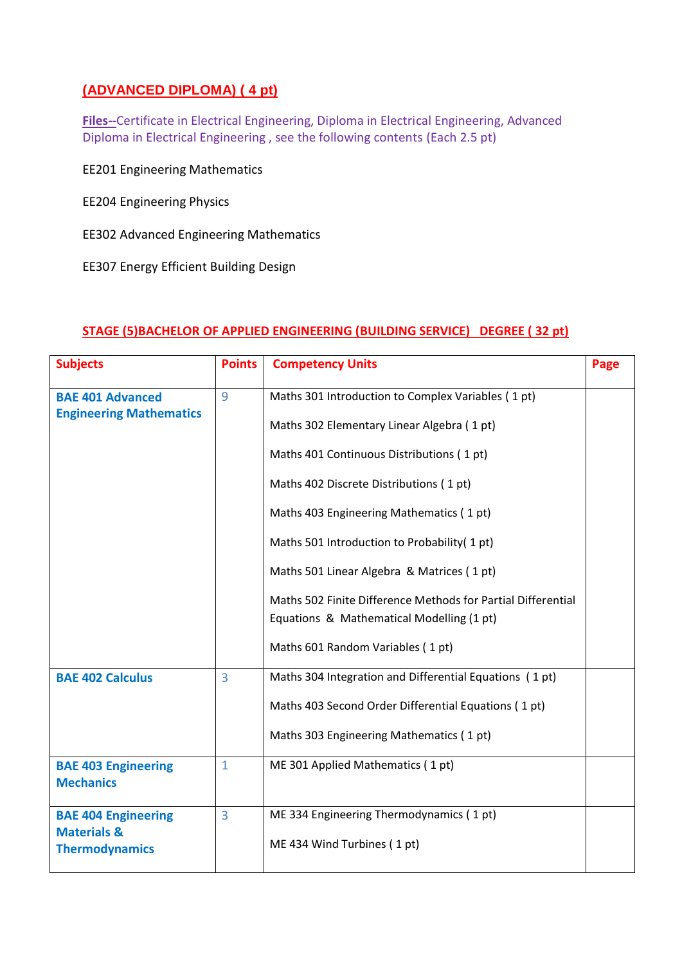# **(ADVANCED DIPLOMA) ( 4 pt)**

**Files--**Certificate in Electrical Engineering, Diploma in Electrical Engineering, Advanced Diploma in Electrical Engineering , see the following contents (Each 2.5 pt)

EE201 Engineering Mathematics

EE204 Engineering Physics

EE302 Advanced Engineering Mathematics

EE307 Energy Efficient Building Design

## **STAGE (5)BACHELOR OF APPLIED ENGINEERING (BUILDING SERVICE) DEGREE ( 32 pt)**

| <b>Subjects</b>                                                               | <b>Points</b>  | <b>Competency Units</b>                                                                                   | Page |
|-------------------------------------------------------------------------------|----------------|-----------------------------------------------------------------------------------------------------------|------|
| <b>BAE 401 Advanced</b>                                                       | 9              | Maths 301 Introduction to Complex Variables (1pt)                                                         |      |
| <b>Engineering Mathematics</b>                                                |                | Maths 302 Elementary Linear Algebra (1 pt)                                                                |      |
|                                                                               |                | Maths 401 Continuous Distributions (1 pt)                                                                 |      |
|                                                                               |                | Maths 402 Discrete Distributions (1 pt)                                                                   |      |
|                                                                               |                | Maths 403 Engineering Mathematics (1 pt)                                                                  |      |
|                                                                               |                | Maths 501 Introduction to Probability (1 pt)                                                              |      |
|                                                                               |                | Maths 501 Linear Algebra & Matrices (1 pt)                                                                |      |
|                                                                               |                | Maths 502 Finite Difference Methods for Partial Differential<br>Equations & Mathematical Modelling (1 pt) |      |
|                                                                               |                | Maths 601 Random Variables (1 pt)                                                                         |      |
| <b>BAE 402 Calculus</b>                                                       | $\overline{3}$ | Maths 304 Integration and Differential Equations (1pt)                                                    |      |
|                                                                               |                | Maths 403 Second Order Differential Equations (1pt)                                                       |      |
|                                                                               |                | Maths 303 Engineering Mathematics (1 pt)                                                                  |      |
| <b>BAE 403 Engineering</b><br><b>Mechanics</b>                                | $\mathbf{1}$   | ME 301 Applied Mathematics (1pt)                                                                          |      |
| <b>BAE 404 Engineering</b><br><b>Materials &amp;</b><br><b>Thermodynamics</b> | 3              | ME 334 Engineering Thermodynamics (1 pt)<br>ME 434 Wind Turbines (1pt)                                    |      |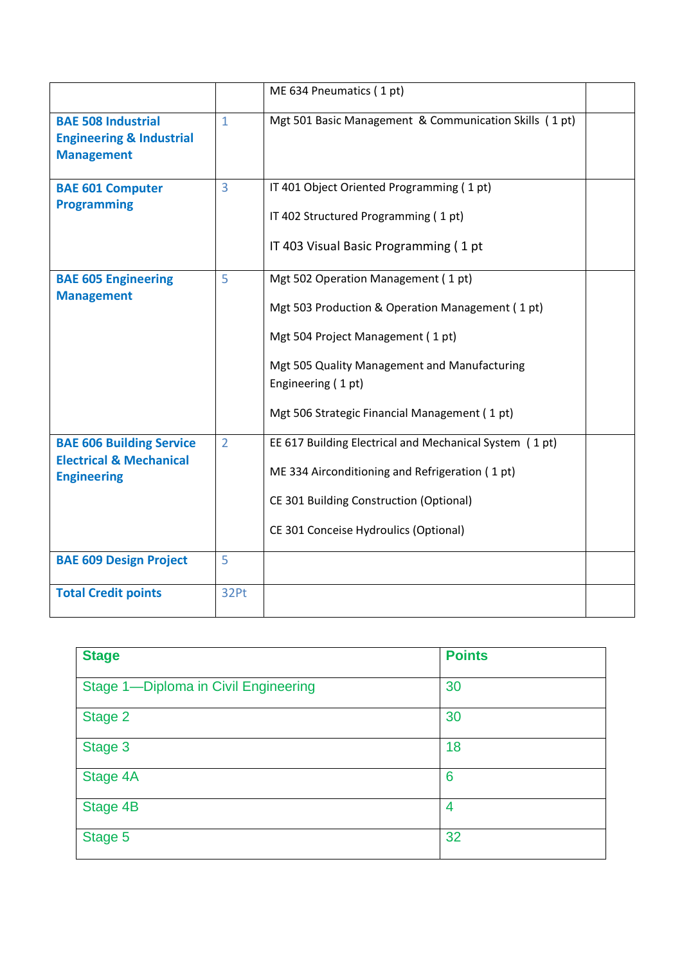|                                                                                             |                | ME 634 Pneumatics (1 pt)                                                                                                                                                                                                                          |  |
|---------------------------------------------------------------------------------------------|----------------|---------------------------------------------------------------------------------------------------------------------------------------------------------------------------------------------------------------------------------------------------|--|
| <b>BAE 508 Industrial</b><br><b>Engineering &amp; Industrial</b><br><b>Management</b>       | $\mathbf{1}$   | Mgt 501 Basic Management & Communication Skills (1pt)                                                                                                                                                                                             |  |
| <b>BAE 601 Computer</b><br><b>Programming</b>                                               | $\overline{3}$ | IT 401 Object Oriented Programming (1 pt)<br>IT 402 Structured Programming (1 pt)<br>IT 403 Visual Basic Programming (1 pt                                                                                                                        |  |
| <b>BAE 605 Engineering</b><br><b>Management</b>                                             | 5              | Mgt 502 Operation Management (1 pt)<br>Mgt 503 Production & Operation Management (1pt)<br>Mgt 504 Project Management (1 pt)<br>Mgt 505 Quality Management and Manufacturing<br>Engineering (1pt)<br>Mgt 506 Strategic Financial Management (1 pt) |  |
| <b>BAE 606 Building Service</b><br><b>Electrical &amp; Mechanical</b><br><b>Engineering</b> | $\overline{2}$ | EE 617 Building Electrical and Mechanical System (1pt)<br>ME 334 Airconditioning and Refrigeration (1 pt)<br>CE 301 Building Construction (Optional)<br>CE 301 Conceise Hydroulics (Optional)                                                     |  |
| <b>BAE 609 Design Project</b>                                                               | 5              |                                                                                                                                                                                                                                                   |  |
| <b>Total Credit points</b>                                                                  | 32Pt           |                                                                                                                                                                                                                                                   |  |

| <b>Stage</b>                         | <b>Points</b> |  |
|--------------------------------------|---------------|--|
| Stage 1-Diploma in Civil Engineering | 30            |  |
| Stage 2                              | 30            |  |
| Stage 3                              | 18            |  |
| Stage 4A                             | 6             |  |
| Stage 4B                             | 4             |  |
| Stage 5                              | 32            |  |